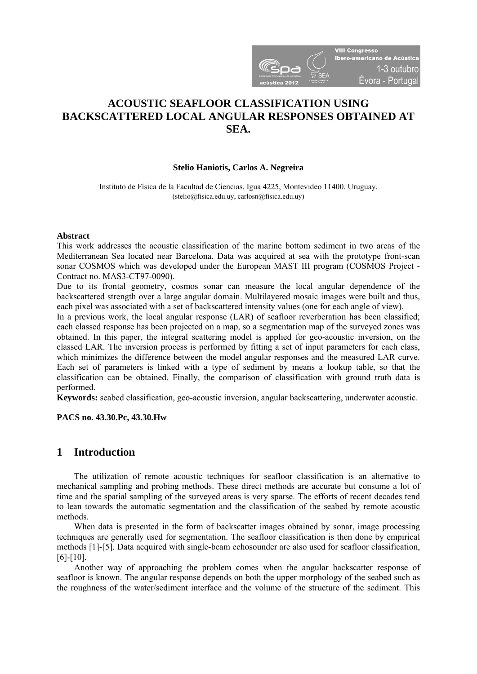

# **ACOUSTIC SEAFLOOR CLASSIFICATION USING BACKSCATTERED LOCAL ANGULAR RESPONSES OBTAINED AT SEA.**

#### **Stelio Haniotis, Carlos A. Negreira**

Instituto de Física de la Facultad de Ciencias. Igua 4225, Montevideo 11400. Uruguay. (stelio@fisica.edu.uy, carlosn@fisica.edu.uy)

#### **Abstract**

This work addresses the acoustic classification of the marine bottom sediment in two areas of the Mediterranean Sea located near Barcelona. Data was acquired at sea with the prototype front-scan sonar COSMOS which was developed under the European MAST III program (COSMOS Project - Contract no. MAS3-CT97-0090).

Due to its frontal geometry, cosmos sonar can measure the local angular dependence of the backscattered strength over a large angular domain. Multilayered mosaic images were built and thus, each pixel was associated with a set of backscattered intensity values (one for each angle of view).

In a previous work, the local angular response (LAR) of seafloor reverberation has been classified; each classed response has been projected on a map, so a segmentation map of the surveyed zones was obtained. In this paper, the integral scattering model is applied for geo-acoustic inversion, on the classed LAR. The inversion process is performed by fitting a set of input parameters for each class, which minimizes the difference between the model angular responses and the measured LAR curve. Each set of parameters is linked with a type of sediment by means a lookup table, so that the classification can be obtained. Finally, the comparison of classification with ground truth data is performed.

**Keywords:** seabed classification, geo-acoustic inversion, angular backscattering, underwater acoustic.

**PACS no. 43.30.Pc, 43.30.Hw** 

### **1 Introduction**

The utilization of remote acoustic techniques for seafloor classification is an alternative to mechanical sampling and probing methods. These direct methods are accurate but consume a lot of time and the spatial sampling of the surveyed areas is very sparse. The efforts of recent decades tend to lean towards the automatic segmentation and the classification of the seabed by remote acoustic methods.

When data is presented in the form of backscatter images obtained by sonar, image processing techniques are generally used for segmentation. The seafloor classification is then done by empirical methods [1]-[5]. Data acquired with single-beam echosounder are also used for seafloor classification, [6]-[10].

Another way of approaching the problem comes when the angular backscatter response of seafloor is known. The angular response depends on both the upper morphology of the seabed such as the roughness of the water/sediment interface and the volume of the structure of the sediment. This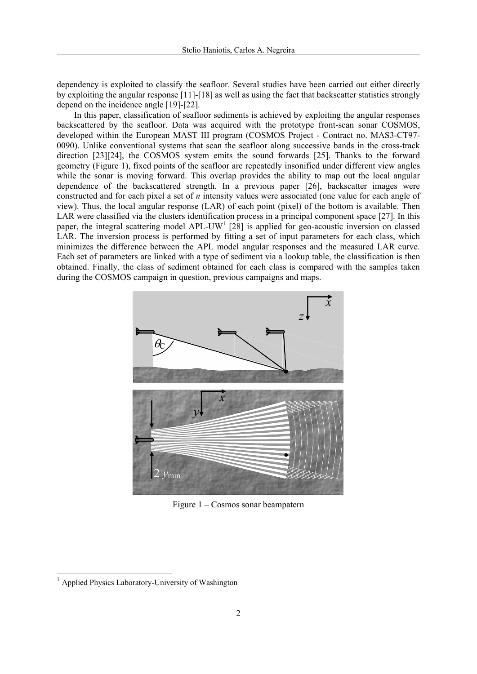dependency is exploited to classify the seafloor. Several studies have been carried out either directly by exploiting the angular response [11]-[18] as well as using the fact that backscatter statistics strongly depend on the incidence angle [19]-[22].

In this paper, classification of seafloor sediments is achieved by exploiting the angular responses backscattered by the seafloor. Data was acquired with the prototype front-scan sonar COSMOS, developed within the European MAST III program (COSMOS Project - Contract no. MAS3-CT97- 0090). Unlike conventional systems that scan the seafloor along successive bands in the cross-track direction [23][24], the COSMOS system emits the sound forwards [25]. Thanks to the forward geometry (Figure 1), fixed points of the seafloor are repeatedly insonified under different view angles while the sonar is moving forward. This overlap provides the ability to map out the local angular dependence of the backscattered strength. In a previous paper [26], backscatter images were constructed and for each pixel a set of *n* intensity values were associated (one value for each angle of view). Thus, the local angular response (LAR) of each point (pixel) of the bottom is available. Then LAR were classified via the clusters identification process in a principal component space [27]. In this paper, the integral scattering model APL-UW<sup>1</sup> [28] is applied for geo-acoustic inversion on classed LAR. The inversion process is performed by fitting a set of input parameters for each class, which minimizes the difference between the APL model angular responses and the measured LAR curve. Each set of parameters are linked with a type of sediment via a lookup table, the classification is then obtained. Finally, the class of sediment obtained for each class is compared with the samples taken during the COSMOS campaign in question, previous campaigns and maps.



Figure 1 – Cosmos sonar beampatern

1

<sup>&</sup>lt;sup>1</sup> Applied Physics Laboratory-University of Washington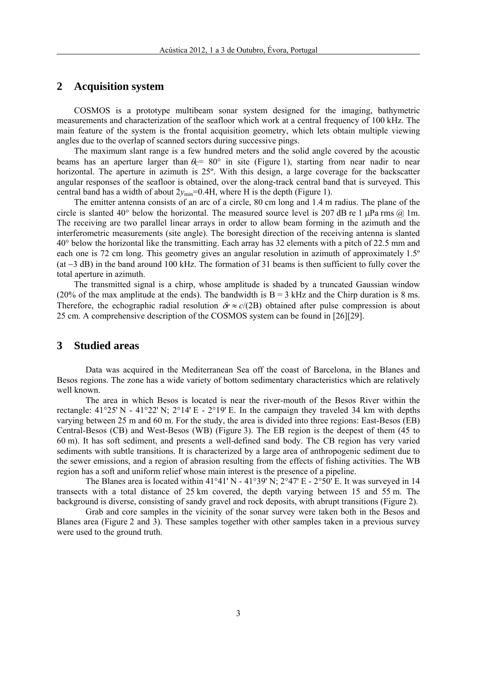## **2 Acquisition system**

COSMOS is a prototype multibeam sonar system designed for the imaging, bathymetric measurements and characterization of the seafloor which work at a central frequency of 100 kHz. The main feature of the system is the frontal acquisition geometry, which lets obtain multiple viewing angles due to the overlap of scanned sectors during successive pings.

The maximum slant range is a few hundred meters and the solid angle covered by the acoustic beams has an aperture larger than  $\theta_c$ = 80° in site (Figure 1), starting from near nadir to near horizontal. The aperture in azimuth is 25º. With this design, a large coverage for the backscatter angular responses of the seafloor is obtained, over the along-track central band that is surveyed. This central band has a width of about  $2y_{\text{min}}=0.4H$ , where H is the depth (Figure 1).

The emitter antenna consists of an arc of a circle, 80 cm long and 1.4 m radius. The plane of the circle is slanted 40° below the horizontal. The measured source level is 207 dB re 1  $\mu$ Pa rms  $\omega$  1m. The receiving are two parallel linear arrays in order to allow beam forming in the azimuth and the interferometric measurements (site angle). The boresight direction of the receiving antenna is slanted 40° below the horizontal like the transmitting. Each array has 32 elements with a pitch of 22.5 mm and each one is 72 cm long. This geometry gives an angular resolution in azimuth of approximately 1.5º  $(at -3 dB)$  in the band around 100 kHz. The formation of 31 beams is then sufficient to fully cover the total aperture in azimuth.

The transmitted signal is a chirp, whose amplitude is shaded by a truncated Gaussian window (20% of the max amplitude at the ends). The bandwidth is  $B = 3$  kHz and the Chirp duration is 8 ms. Therefore, the echographic radial resolution  $\delta r \approx c/(2B)$  obtained after pulse compression is about 25 cm. A comprehensive description of the COSMOS system can be found in [26][29].

### **3 Studied areas**

Data was acquired in the Mediterranean Sea off the coast of Barcelona, in the Blanes and Besos regions. The zone has a wide variety of bottom sedimentary characteristics which are relatively well known.

The area in which Besos is located is near the river-mouth of the Besos River within the rectangle:  $41^{\circ}25'$  N -  $41^{\circ}22'$  N;  $2^{\circ}14'$  E -  $2^{\circ}19'$  E. In the campaign they traveled 34 km with depths varying between 25 m and 60 m. For the study, the area is divided into three regions: East-Besos (EB) Central-Besos (CB) and West-Besos (WB) (Figure 3). The EB region is the deepest of them (45 to 60 m). It has soft sediment, and presents a well-defined sand body. The CB region has very varied sediments with subtle transitions. It is characterized by a large area of anthropogenic sediment due to the sewer emissions, and a region of abrasion resulting from the effects of fishing activities. The WB region has a soft and uniform relief whose main interest is the presence of a pipeline.

The Blanes area is located within  $41^{\circ}41'$  N -  $41^{\circ}39'$  N;  $2^{\circ}47'$  E -  $2^{\circ}50'$  E. It was surveyed in 14 transects with a total distance of 25 km covered, the depth varying between 15 and 55 m. The background is diverse, consisting of sandy gravel and rock deposits, with abrupt transitions (Figure 2).

Grab and core samples in the vicinity of the sonar survey were taken both in the Besos and Blanes area (Figure 2 and 3). These samples together with other samples taken in a previous survey were used to the ground truth.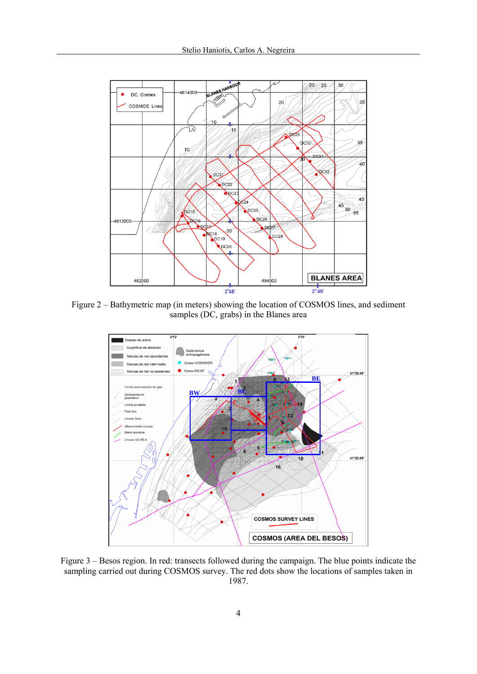

Figure 2 – Bathymetric map (in meters) showing the location of COSMOS lines, and sediment samples (DC, grabs) in the Blanes area



Figure 3 – Besos region. In red: transects followed during the campaign. The blue points indicate the sampling carried out during COSMOS survey. The red dots show the locations of samples taken in 1987.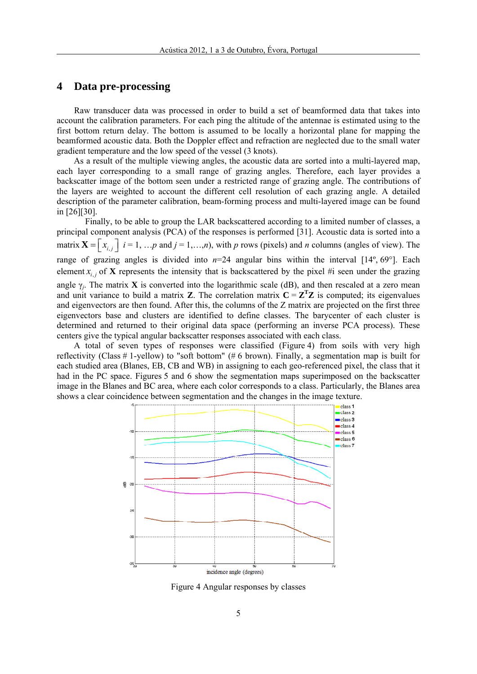# **4 Data pre-processing**

Raw transducer data was processed in order to build a set of beamformed data that takes into account the calibration parameters. For each ping the altitude of the antennae is estimated using to the first bottom return delay. The bottom is assumed to be locally a horizontal plane for mapping the beamformed acoustic data. Both the Doppler effect and refraction are neglected due to the small water gradient temperature and the low speed of the vessel (3 knots).

As a result of the multiple viewing angles, the acoustic data are sorted into a multi-layered map, each layer corresponding to a small range of grazing angles. Therefore, each layer provides a backscatter image of the bottom seen under a restricted range of grazing angle. The contributions of the layers are weighted to account the different cell resolution of each grazing angle. A detailed description of the parameter calibration, beam-forming process and multi-layered image can be found in [26][30].

Finally, to be able to group the LAR backscattered according to a limited number of classes, a principal component analysis (PCA) of the responses is performed [31]. Acoustic data is sorted into a matrix  $\mathbf{X} = \begin{bmatrix} x_{i,j} \end{bmatrix}$  *i* = 1, …, *p* and *j* = 1, …, *n*), with *p* rows (pixels) and *n* columns (angles of view). The range of grazing angles is divided into *n*=24 angular bins within the interval [14º, 69°]. Each element  $x_i$ , of **X** represents the intensity that is backscattered by the pixel #i seen under the grazing angle  $\gamma_i$ . The matrix **X** is converted into the logarithmic scale (dB), and then rescaled at a zero mean and unit variance to build a matrix **Z**. The correlation matrix  $C = Z<sup>T</sup>Z$  is computed; its eigenvalues and eigenvectors are then found. After this, the columns of the Z matrix are projected on the first three eigenvectors base and clusters are identified to define classes. The barycenter of each cluster is determined and returned to their original data space (performing an inverse PCA process). These centers give the typical angular backscatter responses associated with each class.

A total of seven types of responses were classified (Figure 4) from soils with very high reflectivity (Class # 1-yellow) to "soft bottom" (# 6 brown). Finally, a segmentation map is built for each studied area (Blanes, EB, CB and WB) in assigning to each geo-referenced pixel, the class that it had in the PC space. Figures 5 and 6 show the segmentation maps superimposed on the backscatter image in the Blanes and BC area, where each color corresponds to a class. Particularly, the Blanes area shows a clear coincidence between segmentation and the changes in the image texture.



Figure 4 Angular responses by classes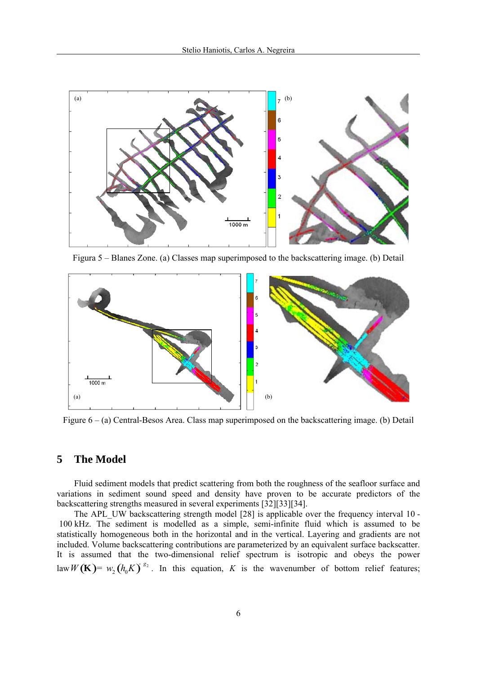

Figura 5 – Blanes Zone. (a) Classes map superimposed to the backscattering image. (b) Detail



Figure 6 – (a) Central-Besos Area. Class map superimposed on the backscattering image. (b) Detail

### **5 The Model**

Fluid sediment models that predict scattering from both the roughness of the seafloor surface and variations in sediment sound speed and density have proven to be accurate predictors of the backscattering strengths measured in several experiments [32][33][34].

The APL UW backscattering strength model [28] is applicable over the frequency interval 10 - 100 kHz. The sediment is modelled as a simple, semi-infinite fluid which is assumed to be statistically homogeneous both in the horizontal and in the vertical. Layering and gradients are not included. Volume backscattering contributions are parameterized by an equivalent surface backscatter. It is assumed that the two-dimensional relief spectrum is isotropic and obeys the power law  $W(\mathbf{K}) = w_2(h_0 K)^{s_2}$ . In this equation, *K* is the wavenumber of bottom relief features;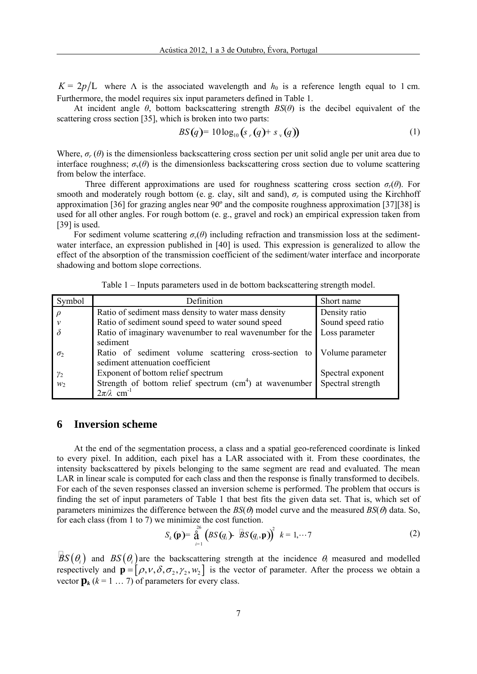$K = 2p/L$  where  $\Lambda$  is the associated wavelength and  $h_0$  is a reference length equal to 1 cm. Furthermore, the model requires six input parameters defined in Table 1.

At incident angle *θ*, bottom backscattering strength *BS*(*θ*) is the decibel equivalent of the scattering cross section [35], which is broken into two parts:

$$
BS(q) = 10\log_{10}\left(s_r(q) + s_y(q)\right) \tag{1}
$$

Where,  $\sigma_r(\theta)$  is the dimensionless backscattering cross section per unit solid angle per unit area due to interface roughness;  $\sigma_v(\theta)$  is the dimensionless backscattering cross section due to volume scattering from below the interface.

Three different approximations are used for roughness scattering cross section  $\sigma_r(\theta)$ . For smooth and moderately rough bottom (e. g. clay, silt and sand),  $\sigma_r$  is computed using the Kirchhoff approximation [36] for grazing angles near 90º and the composite roughness approximation [37][38] is used for all other angles. For rough bottom (e. g., gravel and rock) an empirical expression taken from [39] is used.

For sediment volume scattering  $\sigma_{\nu}(\theta)$  including refraction and transmission loss at the sedimentwater interface, an expression published in [40] is used. This expression is generalized to allow the effect of the absorption of the transmission coefficient of the sediment/water interface and incorporate shadowing and bottom slope corrections.

Table 1 – Inputs parameters used in de bottom backscattering strength model.

| Symbol        | Definition                                               | Short name        |  |
|---------------|----------------------------------------------------------|-------------------|--|
| $\rho$        | Ratio of sediment mass density to water mass density     | Density ratio     |  |
| $\mathcal{V}$ | Ratio of sediment sound speed to water sound speed       | Sound speed ratio |  |
|               | Ratio of imaginary wavenumber to real wavenumber for the | Loss parameter    |  |
|               | sediment                                                 |                   |  |
| $\sigma$      | Ratio of sediment volume scattering cross-section to     | Volume parameter  |  |
|               | sediment attenuation coefficient                         |                   |  |
| $\gamma_2$    | Exponent of bottom relief spectrum                       | Spectral exponent |  |
| $W_2$         | Strength of bottom relief spectrum $(cm4)$ at wavenumber | Spectral strength |  |
|               | $2\pi/\lambda$ cm <sup>-1</sup>                          |                   |  |

#### **6 Inversion scheme**

At the end of the segmentation process, a class and a spatial geo-referenced coordinate is linked to every pixel. In addition, each pixel has a LAR associated with it. From these coordinates, the intensity backscattered by pixels belonging to the same segment are read and evaluated. The mean LAR in linear scale is computed for each class and then the response is finally transformed to decibels. For each of the seven responses classed an inversion scheme is performed. The problem that occurs is finding the set of input parameters of Table 1 that best fits the given data set. That is, which set of parameters minimizes the difference between the  $BS(\theta)$  model curve and the measured  $BS(\theta)$  data. So, for each class (from 1 to 7) we minimize the cost function.

$$
S_k(\mathbf{p}) = \mathop{\stackrel{26}{\mathrm{a}}}_{i=1} (BS(q_i) - BS(q_i, \mathbf{p}))^2 \ \ k = 1, \cdots 7
$$
 (2)

 $BS(\theta_i)$  and  $BS(\theta_i)$  are the backscattering strength at the incidence  $\theta_i$  measured and modelled respectively and  $\mathbf{p} = [\rho, v, \delta, \sigma_2, \gamma_2, w_2]$  is the vector of parameter. After the process we obtain a vector  $\mathbf{p}_k$  ( $k = 1 \ldots 7$ ) of parameters for every class.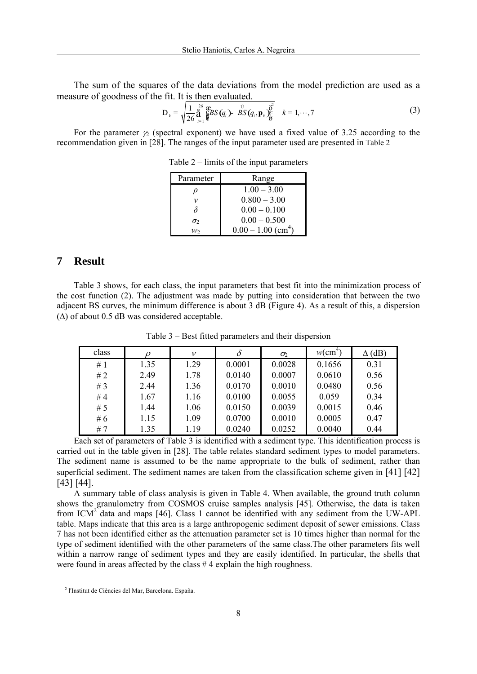The sum of the squares of the data deviations from the model prediction are used as a measure of goodness of the fit. It is then evaluated.

$$
D_{k} = \sqrt{\frac{1}{26} \mathop{\mathbf{a}}\limits_{i=1}^{26} \mathop{\mathbf{E}}\limits_{k=1}^{26} S(q_{i})} \cdot \mathop{\mathbf{B}}\limits_{i=1}^{N} S(q_{i}, \mathbf{p}_{k}) \frac{\mathop{\mathbf{b}}\limits_{i=1}^{26}}{k} = 1, \cdots, 7
$$
 (3)

For the parameter  $\gamma$  (spectral exponent) we have used a fixed value of 3.25 according to the recommendation given in [28]. The ranges of the input parameter used are presented in Table 2

| Parameter | Range                            |
|-----------|----------------------------------|
| ν         | $1.00 - 3.00$                    |
| ν         | $0.800 - 3.00$                   |
| δ         | $0.00 - 0.100$                   |
| $\sigma$  | $0.00 - 0.500$                   |
| w٠        | $0.00 - 1.00$ (cm <sup>4</sup> ) |

Table 2 – limits of the input parameters

## **7 Result**

Table 3 shows, for each class, the input parameters that best fit into the minimization process of the cost function (2). The adjustment was made by putting into consideration that between the two adjacent BS curves, the minimum difference is about 3 dB (Figure 4). As a result of this, a dispersion  $(\Delta)$  of about 0.5 dB was considered acceptable.

| class |      | v    | $\delta$ | $\sigma_2$ | $w$ (cm <sup>4</sup> ) | (dB) |
|-------|------|------|----------|------------|------------------------|------|
| #1    | 1.35 | 1.29 | 0.0001   | 0.0028     | 0.1656                 | 0.31 |
| #2    | 2.49 | 1.78 | 0.0140   | 0.0007     | 0.0610                 | 0.56 |
| #3    | 2.44 | 1.36 | 0.0170   | 0.0010     | 0.0480                 | 0.56 |
| #4    | 1.67 | 1.16 | 0.0100   | 0.0055     | 0.059                  | 0.34 |
| #5    | 1.44 | 1.06 | 0.0150   | 0.0039     | 0.0015                 | 0.46 |
| #6    | 1.15 | 1.09 | 0.0700   | 0.0010     | 0.0005                 | 0.47 |
| #7    | 1.35 | 1.19 | 0.0240   | 0.0252     | 0.0040                 | 0.44 |

Table 3 – Best fitted parameters and their dispersion

Each set of parameters of Table 3 is identified with a sediment type. This identification process is carried out in the table given in [28]. The table relates standard sediment types to model parameters. The sediment name is assumed to be the name appropriate to the bulk of sediment, rather than superficial sediment. The sediment names are taken from the classification scheme given in [41] [42] [43] [44].

A summary table of class analysis is given in Table 4. When available, the ground truth column shows the granulometry from COSMOS cruise samples analysis [45]. Otherwise, the data is taken from  $ICM<sup>2</sup>$  data and maps [46]. Class 1 cannot be identified with any sediment from the UW-APL table. Maps indicate that this area is a large anthropogenic sediment deposit of sewer emissions. Class 7 has not been identified either as the attenuation parameter set is 10 times higher than normal for the type of sediment identified with the other parameters of the same class.The other parameters fits well within a narrow range of sediment types and they are easily identified. In particular, the shells that were found in areas affected by the class #4 explain the high roughness.

 <sup>2</sup> l'Institut de Ciències del Mar, Barcelona. España.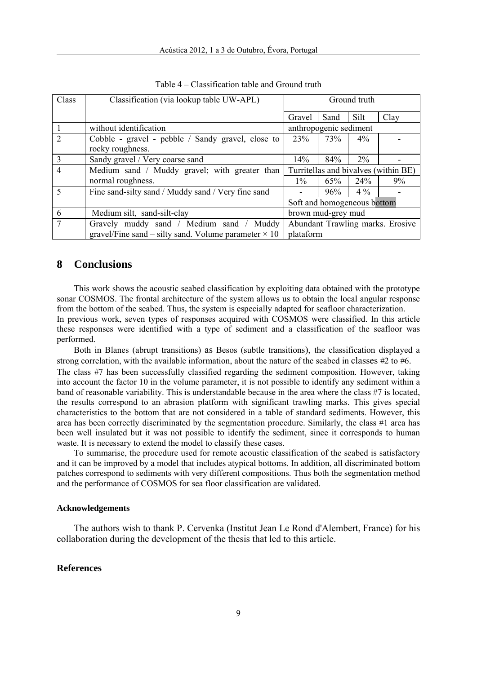| Class          | Classification (via lookup table UW-APL)                              | Ground truth                         |      |       |      |  |
|----------------|-----------------------------------------------------------------------|--------------------------------------|------|-------|------|--|
|                |                                                                       | Gravel                               | Sand | Silt  | Clay |  |
|                | without identification                                                | anthropogenic sediment               |      |       |      |  |
| $\overline{2}$ | Cobble - gravel - pebble / Sandy gravel, close to<br>rocky roughness. | 23%                                  | 73%  | $4\%$ |      |  |
| 3              | Sandy gravel / Very coarse sand                                       | 14%                                  | 84%  | $2\%$ |      |  |
| $\overline{4}$ | Medium sand / Muddy gravel; with greater than                         | Turritellas and bivalves (within BE) |      |       |      |  |
|                | normal roughness.                                                     | $1\%$                                | 65%  | 24%   | 9%   |  |
| 5              | Fine sand-silty sand / Muddy sand / Very fine sand                    |                                      | 96%  | $4\%$ |      |  |
|                |                                                                       | Soft and homogeneous bottom          |      |       |      |  |
| 6              | Medium silt, sand-silt-clay                                           | brown mud-grey mud                   |      |       |      |  |
| $\overline{7}$ | Gravely muddy sand / Medium sand / Muddy                              | Abundant Trawling marks. Erosive     |      |       |      |  |
|                | gravel/Fine sand – silty sand. Volume parameter $\times$ 10           | plataform                            |      |       |      |  |

Table 4 – Classification table and Ground truth

#### **8 Conclusions**

This work shows the acoustic seabed classification by exploiting data obtained with the prototype sonar COSMOS. The frontal architecture of the system allows us to obtain the local angular response from the bottom of the seabed. Thus, the system is especially adapted for seafloor characterization. In previous work, seven types of responses acquired with COSMOS were classified. In this article these responses were identified with a type of sediment and a classification of the seafloor was performed.

Both in Blanes (abrupt transitions) as Besos (subtle transitions), the classification displayed a strong correlation, with the available information, about the nature of the seabed in classes  $#2$  to  $#6$ .

The class #7 has been successfully classified regarding the sediment composition. However, taking into account the factor 10 in the volume parameter, it is not possible to identify any sediment within a band of reasonable variability. This is understandable because in the area where the class #7 is located, the results correspond to an abrasion platform with significant trawling marks. This gives special characteristics to the bottom that are not considered in a table of standard sediments. However, this area has been correctly discriminated by the segmentation procedure. Similarly, the class #1 area has been well insulated but it was not possible to identify the sediment, since it corresponds to human waste. It is necessary to extend the model to classify these cases.

To summarise, the procedure used for remote acoustic classification of the seabed is satisfactory and it can be improved by a model that includes atypical bottoms. In addition, all discriminated bottom patches correspond to sediments with very different compositions. Thus both the segmentation method and the performance of COSMOS for sea floor classification are validated.

#### **Acknowledgements**

The authors wish to thank P. Cervenka (Institut Jean Le Rond d'Alembert, France) for his collaboration during the development of the thesis that led to this article.

#### **References**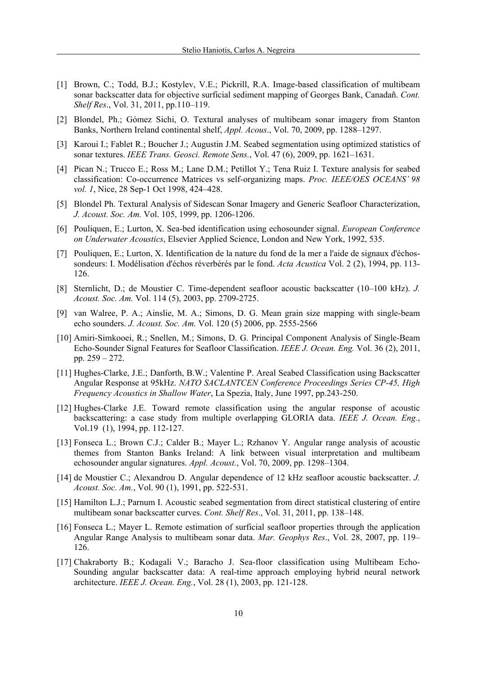- [1] Brown, C.; Todd, B.J.; Kostylev, V.E.; Pickrill, R.A. Image-based classification of multibeam sonar backscatter data for objective surficial sediment mapping of Georges Bank, Canadañ. *Cont. Shelf Res*., Vol. 31, 2011, pp.110–119.
- [2] Blondel, Ph.; Gómez Sichi, O. Textural analyses of multibeam sonar imagery from Stanton Banks, Northern Ireland continental shelf, *Appl. Acous*., Vol. 70, 2009, pp. 1288–1297.
- [3] Karoui I.; Fablet R.; Boucher J.; Augustin J.M. Seabed segmentation using optimized statistics of sonar textures. *IEEE Trans. Geosci. Remote Sens.*, Vol. 47 (6), 2009, pp. 1621–1631.
- [4] Pican N.; Trucco E.; Ross M.; Lane D.M.; Petillot Y.; Tena Ruiz I. Texture analysis for seabed classification: Co-occurrence Matrices vs self-organizing maps. *Proc. IEEE/OES OCEANS' 98 vol. 1*, Nice, 28 Sep-1 Oct 1998, 424–428.
- [5] Blondel Ph. Textural Analysis of Sidescan Sonar Imagery and Generic Seafloor Characterization, *J. Acoust. Soc. Am.* Vol. 105, 1999, pp. 1206-1206.
- [6] Pouliquen, E.; Lurton, X. Sea-bed identification using echosounder signal. *European Conference on Underwater Acoustics*, Elsevier Applied Science, London and New York, 1992, 535.
- [7] Pouliquen, E.; Lurton, X. Identification de la nature du fond de la mer a l'aide de signaux d'échossondeurs: I. Modélisation d'échos réverbérés par le fond. *Acta Acustica* Vol. 2 (2), 1994, pp. 113- 126.
- [8] Sternlicht, D.; de Moustier C. Time-dependent seafloor acoustic backscatter (10–100 kHz). *J. Acoust. Soc. Am.* Vol. 114 (5), 2003, pp. 2709-2725.
- [9] van Walree, P. A.; Ainslie, M. A.; Simons, D. G. Mean grain size mapping with single-beam echo sounders. *J. Acoust. Soc. Am.* Vol. 120 (5) 2006, pp. 2555-2566
- [10] Amiri-Simkooei, R.; Snellen, M.; Simons, D. G. Principal Component Analysis of Single-Beam Echo-Sounder Signal Features for Seafloor Classification. *IEEE J. Ocean. Eng.* Vol. 36 (2), 2011, pp. 259 – 272.
- [11] Hughes-Clarke, J.E.; Danforth, B.W.; Valentine P. Areal Seabed Classification using Backscatter Angular Response at 95kHz. *NATO SACLANTCEN Conference Proceedings Series CP-45, High Frequency Acoustics in Shallow Water*, La Spezia, Italy, June 1997, pp.243-250.
- [12] Hughes-Clarke J.E. Toward remote classification using the angular response of acoustic backscattering: a case study from multiple overlapping GLORIA data. *IEEE J. Ocean. Eng.*, Vol.19 (1), 1994, pp. 112-127.
- [13] Fonseca L.; Brown C.J.; Calder B.; Mayer L.; Rzhanov Y. Angular range analysis of acoustic themes from Stanton Banks Ireland: A link between visual interpretation and multibeam echosounder angular signatures. *Appl. Acoust.*, Vol. 70, 2009, pp. 1298–1304.
- [14] de Moustier C.; Alexandrou D. Angular dependence of 12 kHz seafloor acoustic backscatter. *J. Acoust. Soc. Am.*, Vol. 90 (1), 1991, pp. 522-531.
- [15] Hamilton L.J.; Parnum I. Acoustic seabed segmentation from direct statistical clustering of entire multibeam sonar backscatter curves. *Cont. Shelf Res*., Vol. 31, 2011, pp. 138–148.
- [16] Fonseca L.; Mayer L. Remote estimation of surficial seafloor properties through the application Angular Range Analysis to multibeam sonar data. *Mar. Geophys Res*., Vol. 28, 2007, pp. 119– 126.
- [17] Chakraborty B.; Kodagali V.; Baracho J. Sea-floor classification using Multibeam Echo-Sounding angular backscatter data: A real-time approach employing hybrid neural network architecture. *IEEE J. Ocean. Eng.*, Vol. 28 (1), 2003, pp. 121-128.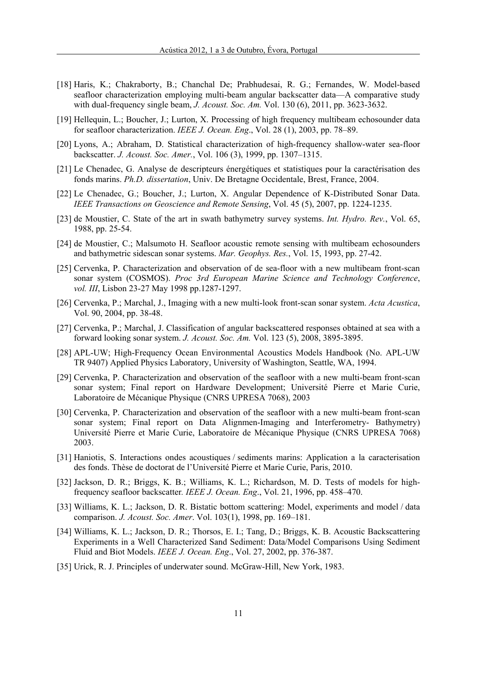- [18] Haris, K.; Chakraborty, B.; Chanchal De; Prabhudesai, R. G.; Fernandes, W. Model-based seafloor characterization employing multi-beam angular backscatter data—A comparative study with dual-frequency single beam, *J. Acoust. Soc. Am.* Vol. 130 (6), 2011, pp. 3623-3632.
- [19] Hellequin, L.; Boucher, J.; Lurton, X. Processing of high frequency multibeam echosounder data for seafloor characterization. *IEEE J. Ocean. Eng*., Vol. 28 (1), 2003, pp. 78–89.
- [20] Lyons, A.; Abraham, D. Statistical characterization of high-frequency shallow-water sea-floor backscatter. *J. Acoust. Soc. Amer.*, Vol. 106 (3), 1999, pp. 1307–1315.
- [21] Le Chenadec, G. Analyse de descripteurs énergétiques et statistiques pour la caractérisation des fonds marins. *Ph.D. dissertation*, Univ. De Bretagne Occidentale, Brest, France, 2004.
- [22] Le Chenadec, G.; Boucher, J.; Lurton, X. Angular Dependence of K-Distributed Sonar Data. *IEEE Transactions on Geoscience and Remote Sensing*, Vol. 45 (5), 2007, pp. 1224-1235.
- [23] de Moustier, C. State of the art in swath bathymetry survey systems. *Int. Hydro. Rev.*, Vol. 65, 1988, pp. 25-54.
- [24] de Moustier, C.; Malsumoto H. Seafloor acoustic remote sensing with multibeam echosounders and bathymetric sidescan sonar systems. *Mar. Geophys. Res.*, Vol. 15, 1993, pp. 27-42.
- [25] Cervenka, P. Characterization and observation of de sea-floor with a new multibeam front-scan sonar system (COSMOS). *Proc 3rd European Marine Science and Technology Conference*, *vol. III*, Lisbon 23-27 May 1998 pp.1287-1297.
- [26] Cervenka, P.; Marchal, J., Imaging with a new multi-look front-scan sonar system. *Acta Acustica*, Vol. 90, 2004, pp. 38-48.
- [27] Cervenka, P.; Marchal, J. Classification of angular backscattered responses obtained at sea with a forward looking sonar system. *J. Acoust. Soc. Am.* Vol. 123 (5), 2008, 3895-3895.
- [28] APL-UW; High-Frequency Ocean Environmental Acoustics Models Handbook (No. APL-UW TR 9407) Applied Physics Laboratory, University of Washington, Seattle, WA, 1994.
- [29] Cervenka, P. Characterization and observation of the seafloor with a new multi-beam front-scan sonar system; Final report on Hardware Development; Université Pierre et Marie Curie, Laboratoire de Mécanique Physique (CNRS UPRESA 7068), 2003
- [30] Cervenka, P. Characterization and observation of the seafloor with a new multi-beam front-scan sonar system; Final report on Data Alignmen-Imaging and Interferometry- Bathymetry) Université Pierre et Marie Curie, Laboratoire de Mécanique Physique (CNRS UPRESA 7068) 2003.
- [31] Haniotis, S. Interactions ondes acoustiques / sediments marins: Application a la caracterisation des fonds. Thèse de doctorat de l'Université Pierre et Marie Curie, Paris, 2010.
- [32] Jackson, D. R.; Briggs, K. B.; Williams, K. L.; Richardson, M. D. Tests of models for highfrequency seafloor backscatter*. IEEE J. Ocean. Eng*., Vol. 21, 1996, pp. 458–470.
- [33] Williams, K. L.; Jackson, D. R. Bistatic bottom scattering: Model, experiments and model / data comparison. *J. Acoust. Soc. Amer*. Vol. 103(1), 1998, pp. 169–181.
- [34] Williams, K. L.; Jackson, D. R.; Thorsos, E. I.; Tang, D.; Briggs, K. B. Acoustic Backscattering Experiments in a Well Characterized Sand Sediment: Data/Model Comparisons Using Sediment Fluid and Biot Models. *IEEE J. Ocean. Eng*., Vol. 27, 2002, pp. 376-387.
- [35] Urick, R. J. Principles of underwater sound. McGraw-Hill, New York, 1983.